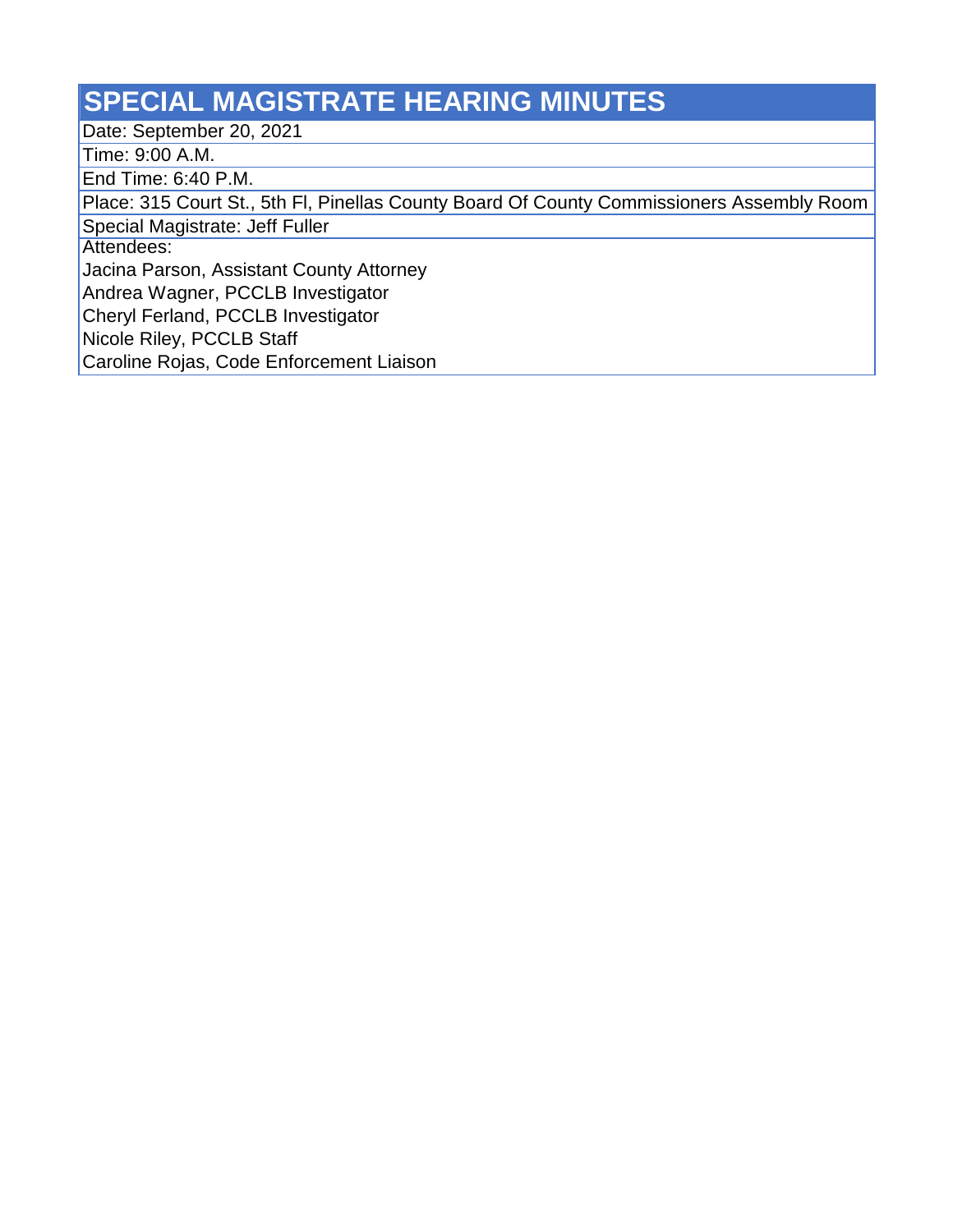## **SPECIAL MAGISTRATE HEARING MINUTES**

Date: September 20, 2021

Time: 9:00 A.M.

End Time: 6:40 P.M.

Place: 315 Court St., 5th Fl, Pinellas County Board Of County Commissioners Assembly Room

Special Magistrate: Jeff Fuller

Attendees:

Jacina Parson, Assistant County Attorney

Andrea Wagner, PCCLB Investigator

Cheryl Ferland, PCCLB Investigator

Nicole Riley, PCCLB Staff

Caroline Rojas, Code Enforcement Liaison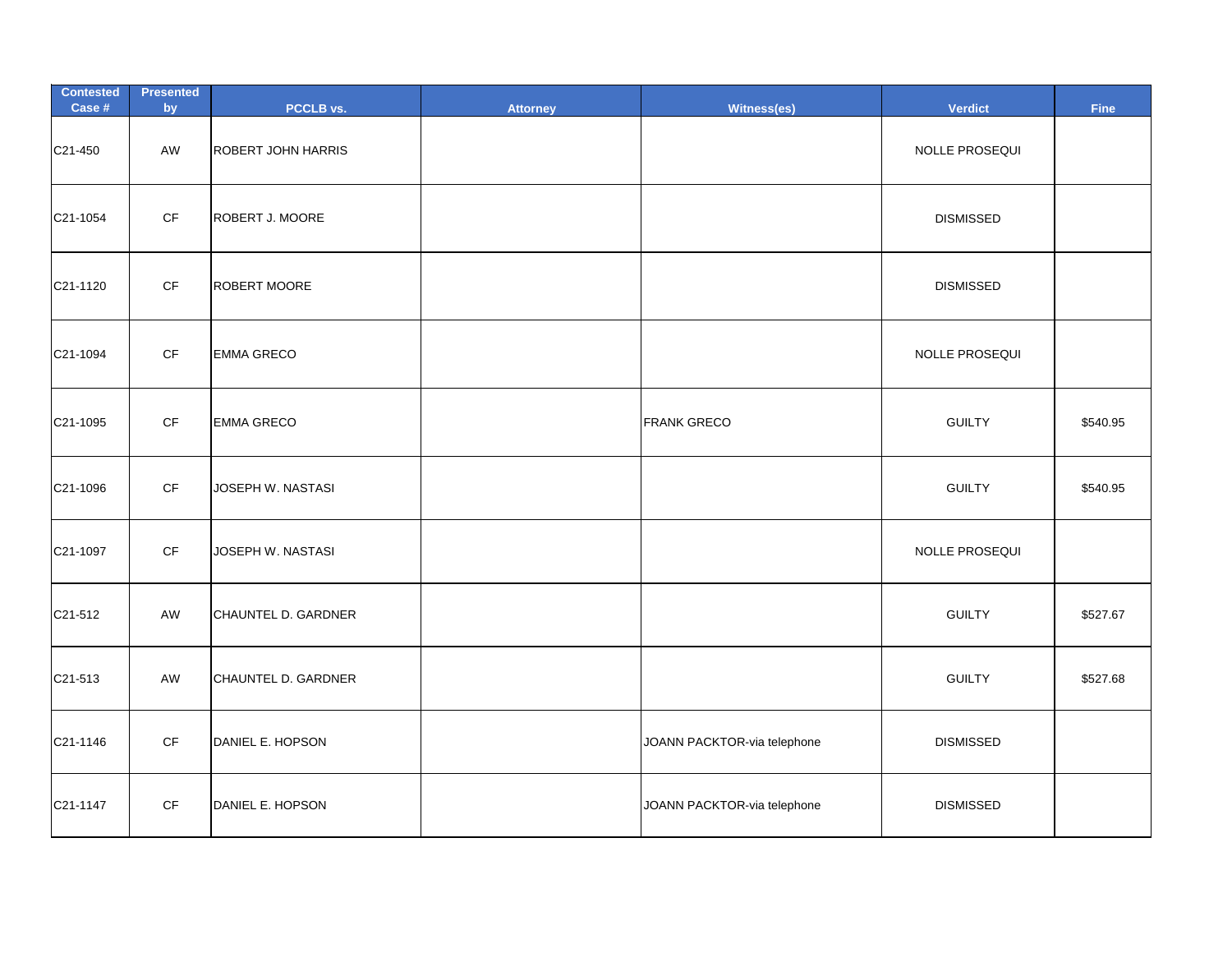| <b>Contested</b><br>Case # | <b>Presented</b><br>by | PCCLB vs.                 | <b>Attorney</b> | Witness(es)                 | <b>Verdict</b>   | <b>Fine</b> |
|----------------------------|------------------------|---------------------------|-----------------|-----------------------------|------------------|-------------|
| C21-450                    | AW                     | <b>ROBERT JOHN HARRIS</b> |                 |                             | NOLLE PROSEQUI   |             |
| C21-1054                   | $\mathsf{C}\mathsf{F}$ | <b>ROBERT J. MOORE</b>    |                 |                             | <b>DISMISSED</b> |             |
| C21-1120                   | $\mathsf{C}\mathsf{F}$ | ROBERT MOORE              |                 |                             | <b>DISMISSED</b> |             |
| C21-1094                   | $\mathsf{C}\mathsf{F}$ | <b>EMMA GRECO</b>         |                 |                             | NOLLE PROSEQUI   |             |
| C21-1095                   | $\mathsf{C}\mathsf{F}$ | <b>EMMA GRECO</b>         |                 | <b>FRANK GRECO</b>          | <b>GUILTY</b>    | \$540.95    |
| C21-1096                   | $\mathsf{C}\mathsf{F}$ | JOSEPH W. NASTASI         |                 |                             | <b>GUILTY</b>    | \$540.95    |
| C21-1097                   | $\mathsf{CF}$          | JOSEPH W. NASTASI         |                 |                             | NOLLE PROSEQUI   |             |
| C21-512                    | AW                     | CHAUNTEL D. GARDNER       |                 |                             | <b>GUILTY</b>    | \$527.67    |
| C21-513                    | AW                     | CHAUNTEL D. GARDNER       |                 |                             | <b>GUILTY</b>    | \$527.68    |
| C21-1146                   | $\mathsf{C}\mathsf{F}$ | DANIEL E. HOPSON          |                 | JOANN PACKTOR-via telephone | <b>DISMISSED</b> |             |
| C21-1147                   | $\mathsf{C}\mathsf{F}$ | DANIEL E. HOPSON          |                 | JOANN PACKTOR-via telephone | <b>DISMISSED</b> |             |